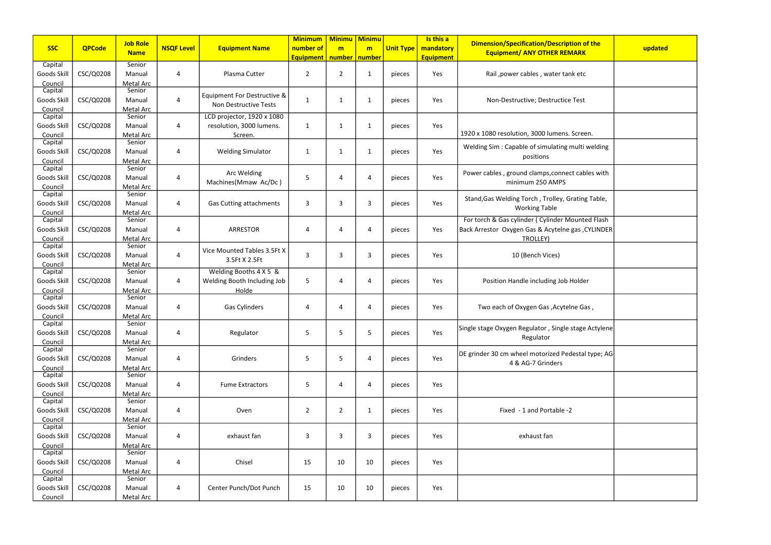|                    |               | <b>Job Role</b>     |                   |                                | <b>Minimum</b>   | <b>Minimu</b>   | Minimu       |                  | Is this a        | <b>Dimension/Specification/Description of the</b>    |         |
|--------------------|---------------|---------------------|-------------------|--------------------------------|------------------|-----------------|--------------|------------------|------------------|------------------------------------------------------|---------|
| <b>SSC</b>         | <b>QPCode</b> | <b>Name</b>         | <b>NSQF Level</b> | <b>Equipment Name</b>          | number of        | m               | m            | <b>Unit Type</b> | mandatory        | <b>Equipment/ ANY OTHER REMARK</b>                   | updated |
|                    |               |                     |                   |                                | <b>Equipment</b> | number   number |              |                  | <b>Equipment</b> |                                                      |         |
| Capital            |               | Senior              |                   |                                |                  |                 |              |                  |                  |                                                      |         |
| Goods Skill        | CSC/Q0208     | Manual              | 4                 | Plasma Cutter                  | $\overline{2}$   | $\overline{2}$  | $\mathbf{1}$ | pieces           | Yes              | Rail , power cables, water tank etc                  |         |
| Council<br>Capital |               | Metal Arc<br>Senior |                   |                                |                  |                 |              |                  |                  |                                                      |         |
| Goods Skill        | CSC/Q0208     | Manual              | 4                 | Equipment For Destructive &    | 1                | $\mathbf 1$     | -1           | pieces           | Yes              | Non-Destructive; Destructice Test                    |         |
| Council            |               | Metal Arc           |                   | Non Destructive Tests          |                  |                 |              |                  |                  |                                                      |         |
| Capital            |               | Senior              |                   | LCD projector, 1920 x 1080     |                  |                 |              |                  |                  |                                                      |         |
| Goods Skill        | CSC/Q0208     | Manual              | $\overline{4}$    | resolution, 3000 lumens.       | 1                | $\mathbf{1}$    | 1            | pieces           | Yes              |                                                      |         |
| Council            |               | Metal Arc           |                   | Screen.                        |                  |                 |              |                  |                  | 1920 x 1080 resolution, 3000 lumens. Screen.         |         |
| Capital            |               | Senior              |                   |                                |                  |                 |              |                  |                  | Welding Sim: Capable of simulating multi welding     |         |
| Goods Skill        | CSC/Q0208     | Manual              | 4                 | <b>Welding Simulator</b>       | 1                | $\mathbf{1}$    | 1            | pieces           | Yes              | positions                                            |         |
| Council            |               | Metal Arc           |                   |                                |                  |                 |              |                  |                  |                                                      |         |
| Capital            |               | Senior              |                   | Arc Welding                    |                  |                 |              |                  |                  | Power cables, ground clamps, connect cables with     |         |
| Goods Skill        | CSC/Q0208     | Manual              | $\overline{4}$    | Machines(Mmaw Ac/Dc)           | 5                | 4               | Δ            | pieces           | Yes              | minimum 250 AMPS                                     |         |
| Council            |               | Metal Arc           |                   |                                |                  |                 |              |                  |                  |                                                      |         |
| Capital            |               | Senior              |                   |                                |                  |                 |              |                  |                  | Stand, Gas Welding Torch, Trolley, Grating Table,    |         |
| Goods Skill        | CSC/Q0208     | Manual              | 4                 | <b>Gas Cutting attachments</b> | 3                | 3               | 3            | pieces           | Yes              | <b>Working Table</b>                                 |         |
| Council<br>Capital |               | Metal Arc<br>Senior |                   |                                |                  |                 |              |                  |                  | For torch & Gas cylinder (Cylinder Mounted Flash     |         |
| Goods Skill        | CSC/Q0208     | Manual              | 4                 | <b>ARRESTOR</b>                | 4                | 4               | Δ            | pieces           | Yes              | Back Arrestor Oxygen Gas & Acytelne gas, CYLINDER    |         |
| Council            |               | Metal Arc           |                   |                                |                  |                 |              |                  |                  | TROLLEY)                                             |         |
| Capital            |               | Senior              |                   |                                |                  |                 |              |                  |                  |                                                      |         |
| Goods Skill        | CSC/Q0208     | Manual              | 4                 | Vice Mounted Tables 3.5Ft X    | 3                | 3               | 3            | pieces           | Yes              | 10 (Bench Vices)                                     |         |
| Council            |               | Metal Arc           |                   | 3.5Ft X 2.5Ft                  |                  |                 |              |                  |                  |                                                      |         |
| Capital            |               | Senior              |                   | Welding Booths 4 X 5 &         |                  |                 |              |                  |                  |                                                      |         |
| Goods Skill        | CSC/Q0208     | Manual              | 4                 | Welding Booth Including Job    | 5                | 4               |              | pieces           | Yes              | Position Handle including Job Holder                 |         |
| Council            |               | Metal Arc           |                   | Holde                          |                  |                 |              |                  |                  |                                                      |         |
| Capital            |               | Senior              |                   |                                |                  |                 |              |                  |                  |                                                      |         |
| Goods Skill        | CSC/Q0208     | Manual              | 4                 | Gas Cylinders                  | 4                | 4               | Δ            | pieces           | Yes              | Two each of Oxygen Gas, Acytelne Gas,                |         |
| Council            |               | Metal Arc           |                   |                                |                  |                 |              |                  |                  |                                                      |         |
| Capital            |               | Senior              |                   |                                |                  |                 |              |                  |                  | Single stage Oxygen Regulator, Single stage Actylene |         |
| Goods Skill        | CSC/Q0208     | Manual              | $\overline{a}$    | Regulator                      | 5                | 5               | 5            | pieces           | Yes              | Regulator                                            |         |
| Council<br>Capital |               | Metal Arc<br>Senior |                   |                                |                  |                 |              |                  |                  |                                                      |         |
| Goods Skill        | CSC/Q0208     | Manual              | 4                 | Grinders                       | 5                | 5               | 4            | pieces           | Yes              | DE grinder 30 cm wheel motorized Pedestal type; AG   |         |
| Council            |               | Metal Arc           |                   |                                |                  |                 |              |                  |                  | 4 & AG-7 Grinders                                    |         |
| Capital            |               | Senior              |                   |                                |                  |                 |              |                  |                  |                                                      |         |
| Goods Skill        | CSC/Q0208     | Manual              | 4                 | <b>Fume Extractors</b>         | 5                | 4               | 4            | pieces           | Yes              |                                                      |         |
| Council            |               | Metal Arc           |                   |                                |                  |                 |              |                  |                  |                                                      |         |
| Capital            |               | Senior              |                   |                                |                  |                 |              |                  |                  |                                                      |         |
| Goods Skill        | CSC/Q0208     | Manual              | $\overline{a}$    | Oven                           | $\overline{2}$   | $\overline{2}$  | 1            | pieces           | Yes              | Fixed - 1 and Portable -2                            |         |
| Council            |               | Metal Arc           |                   |                                |                  |                 |              |                  |                  |                                                      |         |
| Capital            |               | Senior              |                   |                                |                  |                 |              |                  |                  |                                                      |         |
| Goods Skill        | CSC/Q0208     | Manual              | $\overline{a}$    | exhaust fan                    | 3                | 3               | 3            | pieces           | Yes              | exhaust fan                                          |         |
| Council            |               | Metal Arc           |                   |                                |                  |                 |              |                  |                  |                                                      |         |
| Capital            |               | Senior              |                   |                                |                  |                 |              |                  |                  |                                                      |         |
| Goods Skill        | CSC/Q0208     | Manual              | $\overline{4}$    | Chisel                         | 15               | 10              | 10           | pieces           | Yes              |                                                      |         |
| Council<br>Capital |               | Metal Arc<br>Senior |                   |                                |                  |                 |              |                  |                  |                                                      |         |
| Goods Skill        | CSC/Q0208     | Manual              | 4                 | Center Punch/Dot Punch         | 15               | 10              | 10           | pieces           | Yes              |                                                      |         |
| Council            |               | Metal Arc           |                   |                                |                  |                 |              |                  |                  |                                                      |         |
|                    |               |                     |                   |                                |                  |                 |              |                  |                  |                                                      |         |

| of the<br>K            | updated |
|------------------------|---------|
| c                      |         |
| t                      |         |
| en.                    |         |
| i welding              |         |
| bles with              |         |
| ng Table,              |         |
| ted Flash<br>CYLINDER, |         |
|                        |         |
| er                     |         |
| ias ,                  |         |
| e Actylene             |         |
| al type; AG            |         |
|                        |         |
|                        |         |
|                        |         |
|                        |         |
|                        |         |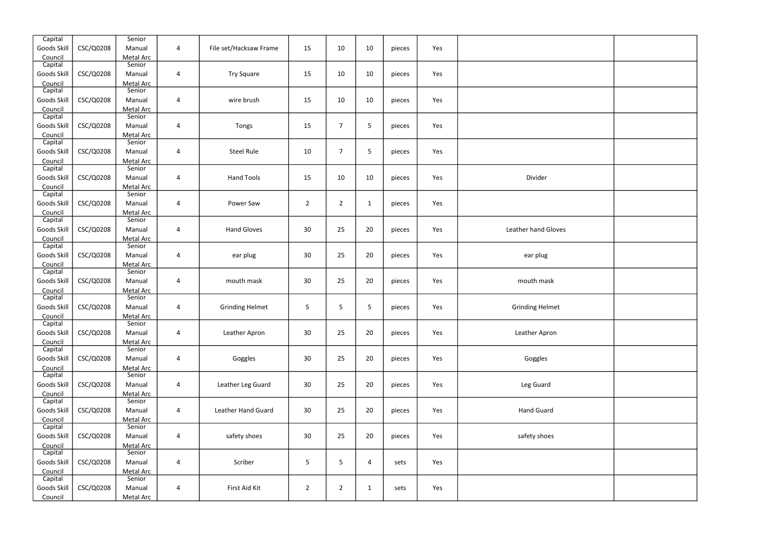| Capital            |           | Senior              |                |                        |                |                |              |        |     |                            |  |
|--------------------|-----------|---------------------|----------------|------------------------|----------------|----------------|--------------|--------|-----|----------------------------|--|
| Goods Skill        | CSC/Q0208 | Manual              | 4              | File set/Hacksaw Frame | 15             | 10             | 10           | pieces | Yes |                            |  |
| Council            |           | Metal Arc           |                |                        |                |                |              |        |     |                            |  |
| Capital            |           | Senior              |                |                        |                |                |              |        |     |                            |  |
| Goods Skill        | CSC/Q0208 | Manual<br>Metal Arc | 4              | <b>Try Square</b>      | 15             | 10             | 10           | pieces | Yes |                            |  |
| Council<br>Capital |           | Senior              |                |                        |                |                |              |        |     |                            |  |
| Goods Skill        | CSC/Q0208 | Manual              | 4              | wire brush             | 15             | 10             | 10           | pieces | Yes |                            |  |
| Council            |           | Metal Arc           |                |                        |                |                |              |        |     |                            |  |
| Capital            |           | Senior              |                |                        |                |                |              |        |     |                            |  |
| Goods Skill        | CSC/Q0208 | Manual              | 4              | Tongs                  | 15             | $\overline{7}$ | 5            | pieces | Yes |                            |  |
| Council            |           | Metal Arc           |                |                        |                |                |              |        |     |                            |  |
| Capital            |           | Senior              |                |                        |                |                |              |        |     |                            |  |
| Goods Skill        | CSC/Q0208 | Manual              | 4              | <b>Steel Rule</b>      | 10             | $\overline{7}$ | 5            | pieces | Yes |                            |  |
| Council            |           | Metal Arc           |                |                        |                |                |              |        |     |                            |  |
| Capital            |           | Senior              |                |                        |                |                |              |        |     |                            |  |
| Goods Skill        | CSC/Q0208 | Manual              | 4              | <b>Hand Tools</b>      | 15             | 10             | 10           | pieces | Yes | Divider                    |  |
| Council<br>Capital |           | Metal Arc<br>Senior |                |                        |                |                |              |        |     |                            |  |
| Goods Skill        | CSC/Q0208 | Manual              | 4              | Power Saw              | $\overline{2}$ | $\overline{2}$ | $\mathbf{1}$ | pieces | Yes |                            |  |
| Council            |           | Metal Arc           |                |                        |                |                |              |        |     |                            |  |
| Capital            |           | Senior              |                |                        |                |                |              |        |     |                            |  |
| Goods Skill        | CSC/Q0208 | Manual              | 4              | <b>Hand Gloves</b>     | 30             | 25             | 20           | pieces | Yes | <b>Leather hand Gloves</b> |  |
| Council            |           | Metal Arc           |                |                        |                |                |              |        |     |                            |  |
| Capital            |           | Senior              |                |                        |                |                |              |        |     |                            |  |
| Goods Skill        | CSC/Q0208 | Manual              | 4              | ear plug               | 30             | 25             | 20           | pieces | Yes | ear plug                   |  |
| Council            |           | Metal Arc           |                |                        |                |                |              |        |     |                            |  |
| Capital            |           | Senior              |                |                        |                |                |              |        |     |                            |  |
| Goods Skill        | CSC/Q0208 | Manual              | 4              | mouth mask             | 30             | 25             | 20           | pieces | Yes | mouth mask                 |  |
| Council            |           | Metal Arc           |                |                        |                |                |              |        |     |                            |  |
| Capital            |           | Senior              |                |                        |                |                |              |        |     |                            |  |
| Goods Skill        | CSC/Q0208 | Manual              | 4              | <b>Grinding Helmet</b> | 5              | 5              | 5            | pieces | Yes | <b>Grinding Helmet</b>     |  |
| Council<br>Capital |           | Metal Arc<br>Senior |                |                        |                |                |              |        |     |                            |  |
| Goods Skill        | CSC/Q0208 | Manual              | 4              | Leather Apron          | 30             | 25             | 20           | pieces | Yes | Leather Apron              |  |
| Council            |           | Metal Arc           |                |                        |                |                |              |        |     |                            |  |
| Capital            |           | Senior              |                |                        |                |                |              |        |     |                            |  |
| Goods Skill        | CSC/Q0208 | Manual              | $\overline{4}$ | Goggles                | 30             | 25             | 20           | pieces | Yes | Goggles                    |  |
| Council            |           | Metal Arc           |                |                        |                |                |              |        |     |                            |  |
| Capital            |           | Senior              |                |                        |                |                |              |        |     |                            |  |
| Goods Skill        | CSC/Q0208 | Manual              | 4              | Leather Leg Guard      | 30             | 25             | 20           | pieces | Yes | Leg Guard                  |  |
| Council            |           | Metal Arc           |                |                        |                |                |              |        |     |                            |  |
| Capital            |           | Senior              |                |                        |                |                |              |        |     |                            |  |
| Goods Skill        | CSC/Q0208 | Manual              | 4              | Leather Hand Guard     | 30             | 25             | 20           | pieces | Yes | <b>Hand Guard</b>          |  |
| Council<br>Capital |           | Metal Arc<br>Senior |                |                        |                |                |              |        |     |                            |  |
| Goods Skill        | CSC/Q0208 | Manual              | 4              | safety shoes           | 30             | 25             | $20\,$       | pieces | Yes | safety shoes               |  |
| Council            |           | Metal Arc           |                |                        |                |                |              |        |     |                            |  |
| Capital            |           | Senior              |                |                        |                |                |              |        |     |                            |  |
| Goods Skill        | CSC/Q0208 | Manual              | 4              | Scriber                | 5              | 5              | 4            | sets   | Yes |                            |  |
| Council            |           | Metal Arc           |                |                        |                |                |              |        |     |                            |  |
| Capital            |           | Senior              |                |                        |                |                |              |        |     |                            |  |
| Goods Skill        | CSC/Q0208 | Manual              | $\overline{4}$ | First Aid Kit          | $\overline{2}$ | $\overline{2}$ | $\mathbf{1}$ | sets   | Yes |                            |  |
| Council            |           | Metal Arc           |                |                        |                |                |              |        |     |                            |  |